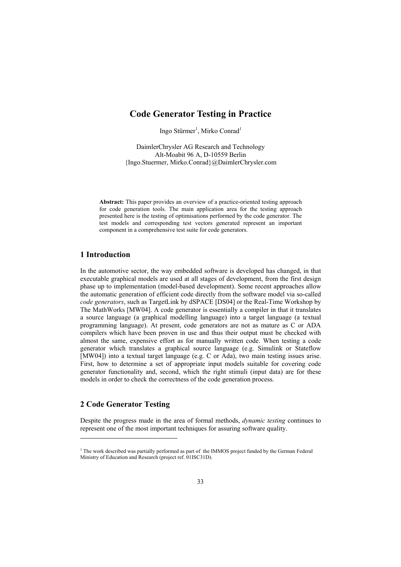# **Code Generator Testing in Practice**

Ingo Stürmer<sup>1</sup>, Mirko Conrad<sup>1</sup>

DaimlerChrysler AG Research and Technology Alt-Moabit 96 A, D-10559 Berlin {Ingo.Stuermer, Mirko.Conrad}@DaimlerChrysler.com

**Abstract:** This paper provides an overview of a practice-oriented testing approach for code generation tools. The main application area for the testing approach presented here is the testing of optimisations performed by the code generator. The test models and corresponding test vectors generated represent an important component in a comprehensive test suite for code generators.

## **1 Introduction**

In the automotive sector, the way embedded software is developed has changed, in that executable graphical models are used at all stages of development, from the first design phase up to implementation (model-based development). Some recent approaches allow the automatic generation of efficient code directly from the software model via so-called *code generators*, such as TargetLink by dSPACE [DS04] or the Real-Time Workshop by The MathWorks [MW04]. A code generator is essentially a compiler in that it translates a source language (a graphical modelling language) into a target language (a textual programming language). At present, code generators are not as mature as C or ADA compilers which have been proven in use and thus their output must be checked with almost the same, expensive effort as for manually written code. When testing a code generator which translates a graphical source language (e.g. Simulink or Stateflow [MW04]) into a textual target language (e.g. C or Ada), two main testing issues arise. First, how to determine a set of appropriate input models suitable for covering code generator functionality and, second, which the right stimuli (input data) are for these models in order to check the correctness of the code generation process.

# **2 Code Generator Testing**

l

Despite the progress made in the area of formal methods, *dynamic testing* continues to represent one of the most important techniques for assuring software quality.

<sup>&</sup>lt;sup>1</sup> The work described was partially performed as part of the IMMOS project funded by the German Federal Ministry of Education and Research (project ref. 01ISC31D).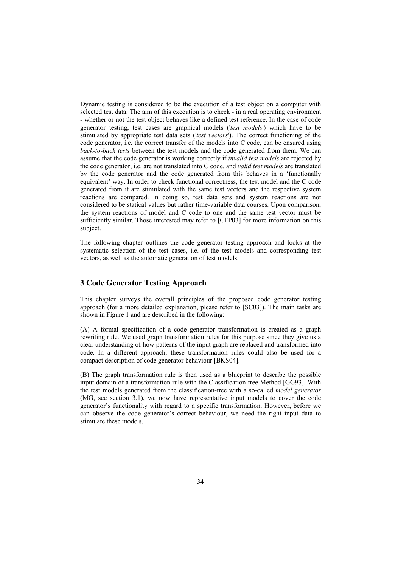Dynamic testing is considered to be the execution of a test object on a computer with selected test data. The aim of this execution is to check - in a real operating environment - whether or not the test object behaves like a defined test reference. In the case of code generator testing, test cases are graphical models ('*test models*') which have to be stimulated by appropriate test data sets ('*test vectors*'). The correct functioning of the code generator, i.e. the correct transfer of the models into C code, can be ensured using *back-to-back tests* between the test models and the code generated from them. We can assume that the code generator is working correctly if *invalid test models* are rejected by the code generator, i.e. are not translated into C code, and *valid test models* are translated by the code generator and the code generated from this behaves in a 'functionally equivalent' way. In order to check functional correctness, the test model and the C code generated from it are stimulated with the same test vectors and the respective system reactions are compared. In doing so, test data sets and system reactions are not considered to be statical values but rather time-variable data courses. Upon comparison, the system reactions of model and C code to one and the same test vector must be sufficiently similar. Those interested may refer to [CFP03] for more information on this subject.

The following chapter outlines the code generator testing approach and looks at the systematic selection of the test cases, i.e. of the test models and corresponding test vectors, as well as the automatic generation of test models.

## **3 Code Generator Testing Approach**

This chapter surveys the overall principles of the proposed code generator testing approach (for a more detailed explanation, please refer to [SC03]). The main tasks are shown in Figure 1 and are described in the following:

(A) A formal specification of a code generator transformation is created as a graph rewriting rule. We used graph transformation rules for this purpose since they give us a clear understanding of how patterns of the input graph are replaced and transformed into code. In a different approach, these transformation rules could also be used for a compact description of code generator behaviour [BKS04].

(B) The graph transformation rule is then used as a blueprint to describe the possible input domain of a transformation rule with the Classification-tree Method [GG93]. With the test models generated from the classification-tree with a so-called *model generator* (MG, see section 3.1), we now have representative input models to cover the code generator's functionality with regard to a specific transformation. However, before we can observe the code generator's correct behaviour, we need the right input data to stimulate these models.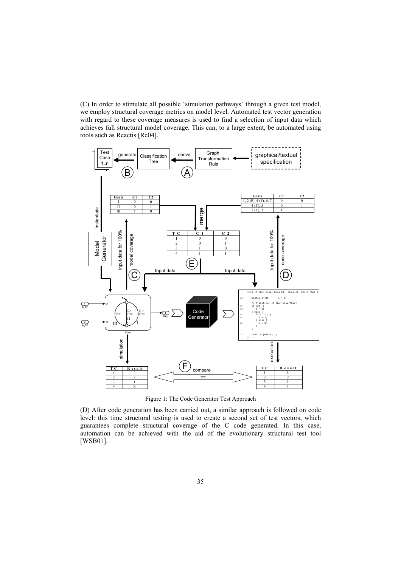(C) In order to stimulate all possible 'simulation pathways' through a given test model, we employ structural coverage metrics on model level. Automated test vector generation with regard to these coverage measures is used to find a selection of input data which achieves full structural model coverage. This can, to a large extent, be automated using tools such as Reactis [Re04].



Figure 1: The Code Generator Test Approach

(D) After code generation has been carried out, a similar approach is followed on code level: this time structural testing is used to create a second set of test vectors, which guarantees complete structural coverage of the C code generated. In this case, automation can be achieved with the aid of the evolutionary structural test tool [WSB01].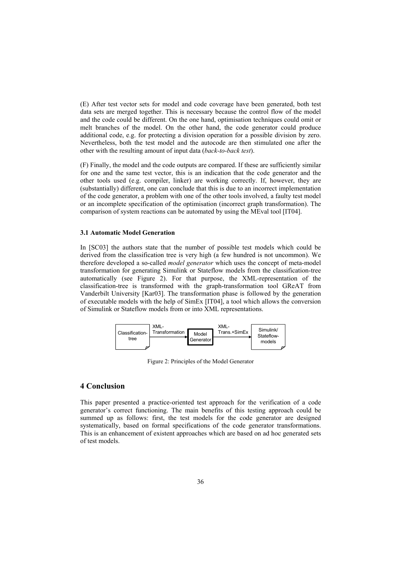(E) After test vector sets for model and code coverage have been generated, both test data sets are merged together. This is necessary because the control flow of the model and the code could be different. On the one hand, optimisation techniques could omit or melt branches of the model. On the other hand, the code generator could produce additional code, e.g. for protecting a division operation for a possible division by zero. Nevertheless, both the test model and the autocode are then stimulated one after the other with the resulting amount of input data (*back-to-back test*).

(F) Finally, the model and the code outputs are compared. If these are sufficiently similar for one and the same test vector, this is an indication that the code generator and the other tools used (e.g. compiler, linker) are working correctly. If, however, they are (substantially) different, one can conclude that this is due to an incorrect implementation of the code generator, a problem with one of the other tools involved, a faulty test model or an incomplete specification of the optimisation (incorrect graph transformation). The comparison of system reactions can be automated by using the MEval tool [IT04].

#### **3.1 Automatic Model Generation**

In [SC03] the authors state that the number of possible test models which could be derived from the classification tree is very high (a few hundred is not uncommon). We therefore developed a so-called *model generator* which uses the concept of meta-model transformation for generating Simulink or Stateflow models from the classification-tree automatically (see Figure 2). For that purpose, the XML-representation of the classification-tree is transformed with the graph-transformation tool GReAT from Vanderbilt University [Kar03]. The transformation phase is followed by the generation of executable models with the help of SimEx [IT04], a tool which allows the conversion of Simulink or Stateflow models from or into XML representations.



Figure 2: Principles of the Model Generator

## **4 Conclusion**

This paper presented a practice-oriented test approach for the verification of a code generator's correct functioning. The main benefits of this testing approach could be summed up as follows: first, the test models for the code generator are designed systematically, based on formal specifications of the code generator transformations. This is an enhancement of existent approaches which are based on ad hoc generated sets of test models.